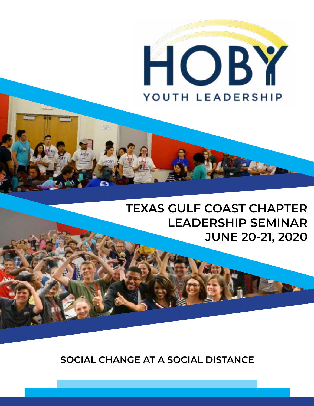

# **TEXAS GULF COAST CHAPTER LEADERSHIP SEMINAR JUNE 20-21, 2020**

**SOCIAL CHANGE AT A SOCIAL DISTANCE**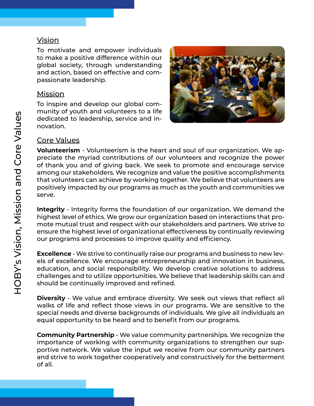#### Vision

To motivate and empower individuals to make a positive difference within our global society, through understanding and action, based on effective and compassionate leadership.

#### Mission

To inspire and develop our global community of youth and volunteers to a life dedicated to leadership, service and innovation.



#### Core Values

**Volunteerism** - Volunteerism is the heart and soul of our organization. We appreciate the myriad contributions of our volunteers and recognize the power of thank you and of giving back. We seek to promote and encourage service among our stakeholders. We recognize and value the positive accomplishments that volunteers can achieve by working together. We believe that volunteers are positively impacted by our programs as much as the youth and communities we serve.

**Integrity** - Integrity forms the foundation of our organization. We demand the highest level of ethics. We grow our organization based on interactions that promote mutual trust and respect with our stakeholders and partners. We strive to ensure the highest level of organizational effectiveness by continually reviewing our programs and processes to improve quality and efficiency.

**Excellence** - We strive to continually raise our programs and business to new levels of excellence. We encourage entrepreneurship and innovation in business, education, and social responsibility. We develop creative solutions to address challenges and to utilize opportunities. We believe that leadership skills can and should be continually improved and refined.

**Diversity** - We value and embrace diversity. We seek out views that reflect all walks of life and reflect those views in our programs. We are sensitive to the special needs and diverse backgrounds of individuals. We give all individuals an equal opportunity to be heard and to benefit from our programs.

**Community Partnership** - We value community partnerships. We recognize the importance of working with community organizations to strengthen our supportive network. We value the input we receive from our community partners and strive to work together cooperatively and constructively for the betterment of all.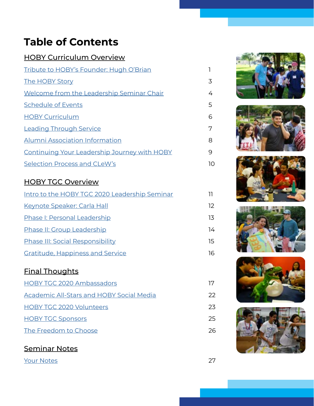# <span id="page-2-0"></span>**Table of Contents**

| <b>HOBY Curriculum Overview</b>                     |    |
|-----------------------------------------------------|----|
| Tribute to HOBY's Founder: Hugh O'Brian             |    |
| <b>The HOBY Story</b>                               | 3  |
| Welcome from the Leadership Seminar Chair           | 4  |
| <b>Schedule of Events</b>                           | 5. |
| <b>HOBY Curriculum</b>                              | 6  |
| <b>Leading Through Service</b>                      | 7  |
| Alumni Association Information                      | 8  |
| <b>Continuing Your Leadership Journey with HOBY</b> | 9  |
| Selection Process and CLeW's                        | 10 |

### HOBY TGC Overview

| Intro to the HOBY TGC 2020 Leadership Seminar |    |
|-----------------------------------------------|----|
| Keynote Speaker: Carla Hall                   | 12 |
| <b>Phase I: Personal Leadership</b>           | 13 |
| Phase II: Group Leadership                    | 14 |
| <b>Phase III: Social Responsibility</b>       | 15 |
| <b>Gratitude, Happiness and Service</b>       | 16 |

### Final Thoughts

| <b>HOBY TGC 2020 Ambassadors</b>                |    |
|-------------------------------------------------|----|
| <b>Academic All-Stars and HOBY Social Media</b> | 22 |
| <b>HOBY TGC 2020 Volunteers</b>                 | 23 |
| <b>HOBY TGC Sponsors</b>                        | 25 |
| The Freedom to Choose                           | 26 |
|                                                 |    |

### Seminar Notes

[Your Notes](#page-29-0) 27











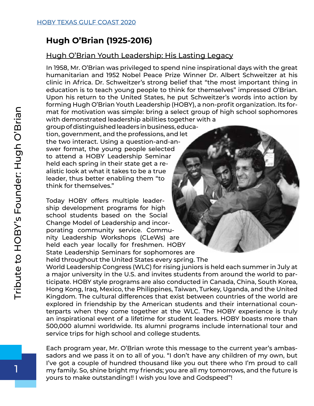## <span id="page-3-0"></span>**Hugh O'Brian (1925-2016)**

#### Hugh O'Brian Youth Leadership: His Lasting Legacy

In 1958, Mr. O'Brian was privileged to spend nine inspirational days with the great humanitarian and 1952 Nobel Peace Prize Winner Dr. Albert Schweitzer at his clinic in Africa. Dr. Schweitzer's strong belief that "the most important thing in education is to teach young people to think for themselves" impressed O'Brian. Upon his return to the United States, he put Schweitzer's words into action by forming Hugh O'Brian Youth Leadership (HOBY), a non-profit organization. Its format for motivation was simple: bring a select group of high school sophomores with demonstrated leadership abilities together with a

group of distinguished leaders in busine[ss, educa](https://www.hoby.org/about/history/)tion, government, and the professions, and let the two interact. Using a question-and-answer format, the young people selected to attend a HOBY Leadership Seminar held each spring in their state get a realistic look at what it takes to be a true leader, thus better enabling them "to think for themselves."

Today HOBY offers multiple leadership development programs for high school students based on the Social Change Model of Leadership and incorporating community service. Community Leadership Workshops (CLeWs) are held each year locally for freshmen. HOBY State Leadership Seminars for sophomores are held throughout the United States every spring. The

World Leadership Congress (WLC) for rising juniors is held each summer in July at a major university in the U.S. and invites students from around the world to participate. HOBY style programs are also conducted in Canada, China, South Korea, Hong Kong, Iraq, Mexico, the Philippines, Taiwan, Turkey, Uganda, and the United Kingdom. The cultural differences that exist between countries of the world are explored in friendship by the American students and their international counterparts when they come together at the WLC. The HOBY experience is truly an inspirational event of a lifetime for student leaders. HOBY boasts more than 500,000 alumni worldwide. Its alumni programs include international tour and service trips for high school and college students.

Each program year, Mr. O'Brian wrote this message to the current year's ambassadors and we pass it on to all of you. "I don't have any children of my own, but I've got a couple of hundred thousand like you out there who I'm proud to call my family. So, shine bright my friends; you are all my tomorrows, and the future is yours to make outstanding!! I wish you love and Godspeed"!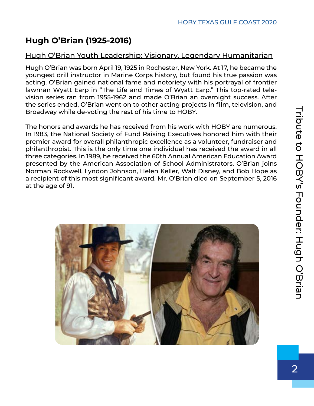# **Hugh O'Brian (1925-2016)**

### Hugh O'Brian Youth Leadership: Visionary, Legendary Humanitarian

Hugh O'Brian was born April 19, 1925 in Rochester, New York. At 17, he became the youngest drill instructor in Marine Corps history, but found his true passion was acting. O'Brian gained national fame and notoriety with his portrayal of frontier lawman Wyatt Earp in "The Life and Times of Wyatt Earp." This top-rated television series ran from 1955-1962 and made O'Brian an overnight success. After the series ended, O'Brian went on to other acting projects in film, television, and Broadway while de-voting the rest of his time to HOBY.

The honors and awards he has received from his work with HOBY are numerous. In 1983, the National Society of Fund Raising Executives honored him with their premier award for overall philanthropic excellence as a volunteer, fundraiser and philanthropist. This is the only time one individual has received the award in all three categories. In 1989, he received the 60th Annual American Education Award presented by the American Association of School Administrators. O'Brian joins Norman Rockwell, Lyndon Johnson, Helen Keller, Walt Disney, and Bob Hope as a recipient of this most significant award. Mr. O'Brian died on September 5, 2016 at the age of 91.

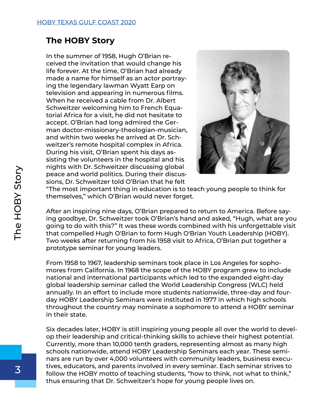### <span id="page-5-0"></span>**The HOBY Story**

In the summer of 1958, Hugh O'Brian received the invitation that would change his life forever. At the time, O'Brian had already made a name for himself as an actor portraying the legendary lawman Wyatt Earp on television and appearing in numerous films. When he received a cable from Dr. Albert Schweitzer welcoming him to French Equatorial Africa for a visit, he did not hesitate to accept. O'Brian had long admired the German doctor-missionary-theologian-musician, and within two weeks he arrived at Dr. Schweitzer's remote hospital complex in Africa. During his visit, O'Brian spent his days assisting the volunteers in the hospital and his nights with Dr. Schweitzer discussing global peace and world politics. During their discussions, Dr. Schweitzer told O'Brian that he felt



"The most important thing in education is to teach young people to think for themselves," which O'Brian would never forget.

After an inspiring nine days, O'Brian prepared to return to America. Before saying goodbye, Dr. Schweitzer took O'Brian's hand and asked, "Hugh, what are you going to do with this?" It was these words combined with his unforgettable visit that compelled Hugh O'Brian to form Hugh O'Brian Youth Leadership (HOBY). Two weeks after returning from his 1958 visit to Africa, O'Brian put together a prototype seminar for young leaders.

From 1958 to 1967, leadership seminars took place in Los Angeles for sophomores from California. In 1968 the scope of the HOBY program grew to include national and international participants which led to the expanded eight-day global leadership seminar called the World Leadership Congress (WLC) held annually. In an effort to include more students nationwide, three-day and fourday HOBY Leadership Seminars were instituted in 1977 in which high schools throughout the country may nominate a sophomore to attend a HOBY seminar in their state.

Six decades later, HOBY is still inspiring young people all over the world to develop their leadership and critical-thinking skills to achieve their highest potential. Currently, more than 10,000 tenth graders, representing almost as many high schools nationwide, attend HOBY Leadership Seminars each year. These seminars are run by over 4,000 volunteers with community leaders, business executives, educators, and parents involved in every seminar. Each seminar strives to follow the HOBY motto of teaching students, "how to think, not what to think," thus ensuring that Dr. Schweitzer's hope for young people lives on.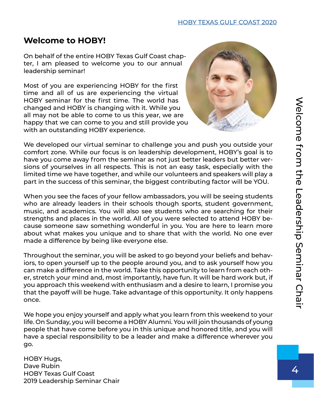# <span id="page-6-0"></span>**Welcome to HOBY!**

On behalf of the entire HOBY Texas Gulf Coast chapter, I am pleased to welcome you to our annual leadership seminar!

Most of you are experiencing HOBY for the first time and all of us are experiencing the virtual HOBY seminar for the first time. The world has changed and HOBY is changing with it. While you all may not be able to come to us this year, we are happy that we can come to you and still provide yo[u](https://www.hobytgc.org/)  with an outstanding HOBY experience.



We developed our virtual seminar to challenge you and push you outside your comfort zone. While our focus is on leadership development, HOBY's goal is to have you come away from the seminar as not just better leaders but better versions of yourselves in all respects. This is not an easy task, especially with the limited time we have together, and while our volunteers and speakers will play a part in the success of this seminar, the biggest contributing factor will be YOU.

When you see the faces of your fellow ambassadors, you will be seeing students who are already leaders in their schools though sports, student government, music, and academics. You will also see students who are searching for their strengths and places in the world. All of you were selected to attend HOBY because someone saw something wonderful in you. You are here to learn more about what makes you unique and to share that with the world. No one ever made a difference by being like everyone else.

Throughout the seminar, you will be asked to go beyond your beliefs and behaviors, to open yourself up to the people around you, and to ask yourself how you can make a difference in the world. Take this opportunity to learn from each other, stretch your mind and, most importantly, have fun. It will be hard work but, if you approach this weekend with enthusiasm and a desire to learn, I promise you that the payoff will be huge. Take advantage of this opportunity. It only happens once.

We hope you enjoy yourself and apply what you learn from this weekend to your life. On Sunday, you will become a HOBY Alumni. You will join thousands of young people that have come before you in this unique and honored title, and you will have a special responsibility to be a leader and make a difference wherever you go.

HOBY Hugs, Dave Rubin HOBY Texas Gulf Coast 2019 Leadership Seminar Chair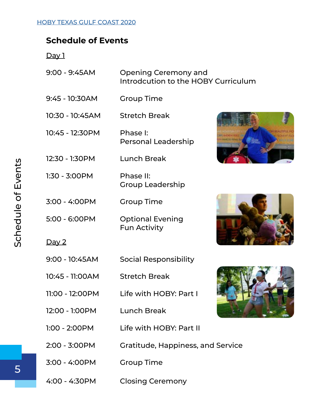### <span id="page-7-0"></span>**Schedule of Events**

Day 1

| $9:00 - 9:45AM$ | Opening Ceremony and                |
|-----------------|-------------------------------------|
|                 | Introdcution to the HOBY Curriculum |

- 9:45 10:30AM Group Time
- 10:30 10:45AM Stretch Break
- 10:45 12:30PM Phase I: Personal Leadership
- 12:30 1:30PM Lunch Break
- 1:30 3:00PM Phase II: Group Leadership
- 3:00 4:00PM Group Time
- 5:00 6:00PM Optional Evening Fun Activity





#### Day 2

- 9:00 10:45AM Social Responsibility
- 10:45 11:00AM Stretch Break
- 11:00 12:00PM Life with HOBY: Part I
- 12:00 1:00PM Lunch Break



- 1:00 2:00PM Life with HOBY: Part II
- 2:00 3:00PM Gratitude, Happiness, and Service
- 3:00 4:00PM Group Time
- 4:00 4:30PM Closing Ceremony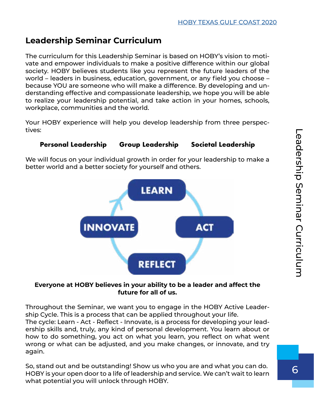# <span id="page-8-0"></span>**Leadership Seminar Curriculum**

The curriculum for this Leadership Seminar is based on HOBY's vision to motivate and empower individuals to make a positive difference within our global society. HOBY believes students like you represent the future leaders of the world – leaders in business, education, government, or any field you choose – because YOU are someone who will make a difference. By developing and understanding effective and compassionate leadership, we hope you will be able to realize your leadership potential, and take action in your homes, schools, workplace, communities and the world.

Your HOBY experience will help you develop leadership from three perspectives:

#### **Personal Leadership Group Leadership Societal Leadership**

We will focus on your individual growth in order for your leadership to make a better world and a better society for yourself and others.



#### **Everyone at HOBY believes in your ability to be a leader and affect the future for all of us.**

Throughout the Seminar, we want you to engage in the HOBY Active Leadership Cycle. This is a process that can be applied throughout your life. The cycle: Learn - Act - Reflect - Innovate, is a process for developing your leadership skills and, truly, any kind of personal development. You learn about or how to do something, you act on what you learn, you reflect on what went wrong or what can be adjusted, and you make changes, or innovate, and try again.

So, stand out and be outstanding! Show us who you are and what you can do. HOBY is your open door to a life of leadership and service. We can't wait to learn what potential you will unlock through HOBY.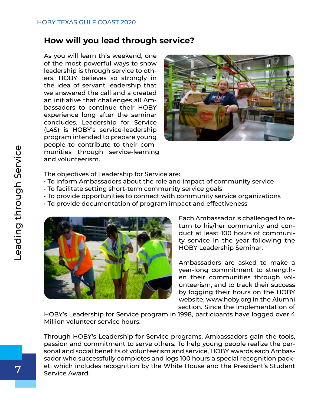### <span id="page-9-0"></span>**How will you lead through service?**

As you will learn this weekend, one of the most powerful ways to show leadership is through service to others. HOBY believes so strongly in the idea of servant leadership that we answered the call and a created an initiative that challenges all Ambassadors to continue their HOBY experience long after the seminar concludes. Leadership for Service (L4S) is HOBY's service-leadership program intended to prepare young people to contribute to their communities through service-learning and volunteerism.



The objectives of Leadership for Service are:

- To inform Ambassadors about the role and impact of community service
- To facilitate setting short-term community service goals
- To provide opportunities to connect with community service organizations
- To provide documentation of program impact and effectiveness



Each Ambassador is challenged to return to his/her community and conduct at least 100 hours of community service in the year following the HOBY Leadership Seminar.

Ambassadors are asked to make a year-long commitment to strengthen their communities through volunteerism, and to track their success by logging their hours on the HOBY website, www.hoby.org in the Alumni section. Since the implementation of

HOBY's Leadership for Service program in 1998, participants have logged over 4 Million volunteer service hours.

Through HOBY's Leadership for Service programs, Ambassadors gain the tools, passion and commitment to serve others. To help young people realize the personal and social benefits of volunteerism and service, HOBY awards each Ambassador who successfully completes and logs 100 hours a special recognition packet, which includes recognition by the White House and the President's Student Service Award.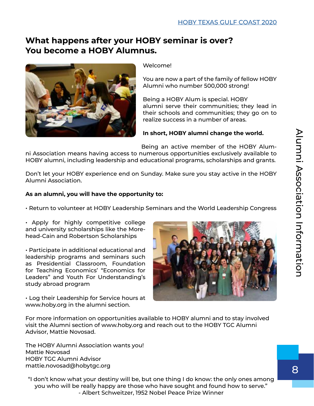### <span id="page-10-0"></span>**What happens after your HOBY seminar is over? You become a HOBY Alumnus.**



#### Welcome!

You are now a part of the family of fellow HOBY Alumni who number 500,000 strong!

Being a HOBY Alum is special. HOBY alumni serve their communities; they lead in their schools and communities; they go on to realize success in a number of areas.

#### **In short, HOBY alumni change the world.**

Being an active member of the HOBY Alumni Association means having access to numerous opportunities exclusively available to HOBY alumni, including leadership and educational programs, scholarships and grants.

Don't let your HOBY experience end on Sunday. Make sure you stay active in the HOBY Alumni Association.

#### **As an alumni, you will have the opportunity to:**

• Return to volunteer at HOBY Leadership Seminars and the World Leadership Congress

• Apply for highly competitive college and university scholarships like the Morehead-Cain and Robertson Scholarships

• Participate in additional educational and leadership programs and seminars such as Presidential Classroom, Foundation for Teaching Economics' "Economics for Leaders" and Youth For Understanding's study abroad program

• Log their Leadership for Service hours at www.hoby.org in the alumni section.



For more information on opportunities available to HOBY alumni and to stay involved visit the Alumni section of www.hoby.org and reach out to the HOBY TGC Alumni Advisor, Mattie Novosad.

The HOBY Alumni Association wants you! Mattie Novosad HOBY TGC Alumni Advisor mattie.novosad@hobytgc.org

"I don't know what your destiny will be, but one thing I do know: the only ones among you who will be really happy are those who have sought and found how to serve." - Albert Schweitzer, 1952 Nobel Peace Prize Winner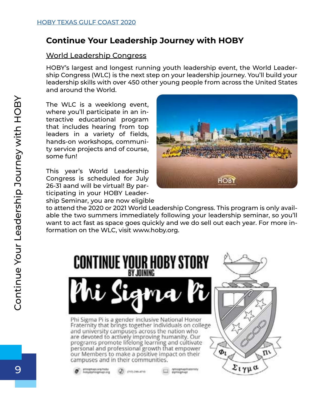### <span id="page-11-0"></span>**Continue Your Leadership Journey with HOBY**

#### World Leadership Congress

HOBY's largest and longest running youth leadership event, the World Leadership Congress (WLC) is the next step on your leadership journey. You'll build your leadership skills with over 450 other young people from across the United States and around the World.

The WLC is a weeklong event, where you'll participate in an interactive educational program that includes hearing from top leaders in a variety of fields, hands-on workshops, community service projects and of course, some fun!

This year's World Leadership Congress is scheduled for July 26-31 aand will be virtual! By participating in your HOBY Leadership Seminar, you are now eligible



to attend the 2020 or 2021 World Leadership Congress. This program is only available the two summers immediately following your leadership seminar, so you'll want to act fast as space goes quickly and we do sell out each year. For more information on the WLC, visit www.hoby.org.

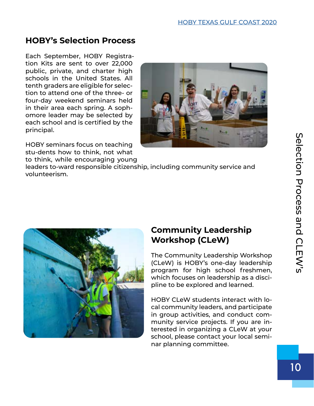## <span id="page-12-0"></span>**HOBY's Selection Process**

Each September, HOBY Registration Kits are sent to over 22,000 public, private, and charter high schools in the United States. All tenth graders are eligible for selection to attend one of the three- or four-day weekend seminars held in their area each spring. A sophomore leader may be selected by each school and is certified by the principal.

HOBY seminars focus on teaching stu-dents how to think, not what to think, while encouraging young



leaders to-ward responsible citizenship, including community service and volunteerism.



### **Community Leadership Workshop (CLeW)**

The Community Leadership Workshop (CLeW) is HOBY's one-day leadership program for high school freshmen, which focuses on leadership as a discipline to be explored and learned.

HOBY CLeW students interact with local community leaders, and participate in group activities, and conduct community service projects. If you are interested in organizing a CLeW at your school, please contact your local seminar planning committee.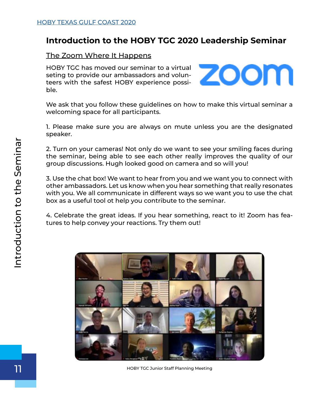### <span id="page-13-0"></span>**Introduction to the HOBY TGC 2020 Leadership Seminar**

#### The Zoom Where It Happens

HOBY TGC has moved our seminar to a virtual seting to provide our ambassadors and volunteers with the safest HOBY experience possible.



We ask that you follow these guidelines on how to make this virtual seminar a welcoming space for all participants.

1. Please make sure you are always on mute unless you are the designated speaker.

2. Turn on your cameras! Not only do we want to see your smiling faces during the seminar, being able to see each other really improves the quality of our group discussions. Hugh looked good on camera and so will you!

3. Use the chat box! We want to hear from you and we want you to connect with other ambassadors. Let us know when you hear something that really resonates with you. We all communicate in different ways so we want you to use the chat box as a useful tool ot help you contribute to the seminar.

4. Celebrate the great ideas. If you hear something, react to it! Zoom has features to help convey your reactions. Try them out!



HOBY TGC Junior Staff Planning Meeting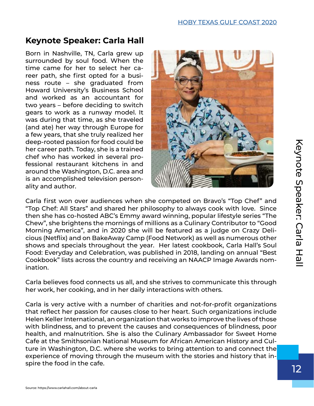# <span id="page-14-0"></span>**Keynote Speaker: Carla Hall**

Born in Nashville, TN, Carla grew up surrounded by soul food. When the time came for her to select her career path, she first opted for a business route – she graduated from Howard University's Business School and worked as an accountant for two years – before deciding to switch gears to work as a runway model. It was during that time, as she traveled (and ate) her way through Europe for a few years, that she truly realized her deep-rooted passion for food could be her career path. Today, she is a trained chef who has worked in several professional restaurant kitchens in and around the Washington, D.C. area and is an accomplished television personality and author.



Carla first won over audiences when she competed on Bravo's "Top Chef" and "Top Chef: All Stars" and shared her philosophy to always cook with love. Since then she has co-hosted ABC's Emmy award winning, popular lifestyle series "The Chew", she brightens the mornings of millions as a Culinary Contributor to "Good Morning America", and in 2020 she will be featured as a judge on Crazy Delicious (Netflix) and on BakeAway Camp (Food Network) as well as numerous other shows and specials throughout the year. Her latest cookbook, Carla Hall's Soul Food: Everyday and Celebration, was published in 2018, landing on annual "Best Cookbook" lists across the country and receiving an NAACP Image Awards nomination. deep-rooted passion for food could be<br>care part and the career part. Today, she is a trained<br>the career part. Today, she is a trained<br>fessional restaurant Kitchers in and<br>around the Washington, D.C. area and<br>ility and auth

Carla believes food connects us all, and she strives to communicate this through her work, her cooking, and in her daily interactions with others.

Carla is very active with a number of charities and not-for-profit organizations that reflect her passion for causes close to her heart. Such organizations include Helen Keller International, an organization that works to improve the lives of those with blindness, and to prevent the causes and consequences of blindness, poor health, and malnutrition. She is also the Culinary Ambassador for Sweet Home Cafe at the Smithsonian National Museum for African American History and Culture in Washington, D.C. where she works to bring attention to and connect the experience of moving through the museum with the stories and history that in-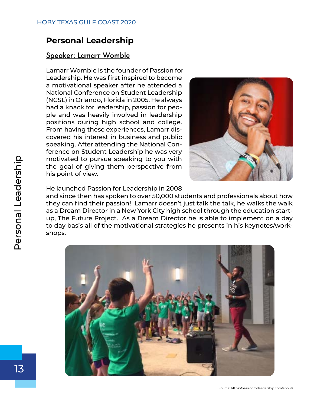### <span id="page-15-0"></span>**Personal Leadership**

#### Speaker: Lamarr Womble

Lamarr Womble is the founder of Passion for Leadership. He was first inspired to become a motivational speaker after he attended a National Conference on Student Leadership (NCSL) in Orlando, Florida in 2005. He always had a knack for leadership, passion for people and was heavily involved in leadership positions during high school and college. From having these experiences, Lamarr discovered his interest in business and public speaking. After attending the National Conference on Student Leadership he was very motivated to pursue speaking to you with the goal of giving them perspective from his point of view.



He launched Passion for Leadership in 2008

and since then has spoken to over 50,000 students and professionals about how they can find their passion! Lamarr doesn't just talk the talk, he walks the walk as a Dream Director in a New York City high school through the education startup, The Future Project. As a Dream Director he is able to implement on a day to day basis all of the motivational strategies he presents in his keynotes/workshops.

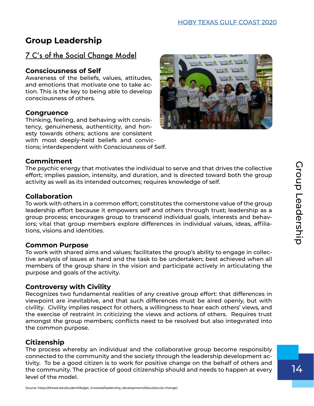# <span id="page-16-0"></span>**Group Leadership**

### 7 C's of the Social Change Model

#### **Consciousness of Self**

Awareness of the beliefs, values, attitudes, and emotions that motivate one to take action. This is the key to being able to develop consciousness of others.

#### **Congruence**

Thinking, feeling, and behaving with consistency, genuineness, authenticity, and honesty towards others; actions are consistent with most deeply-held beliefs and convictions; interdependent with Consciousness of Self.



#### **Commitment**

The psychic energy that motivates the individual to serve and that drives the collective effort; implies passion, intensity, and duration, and is directed toward both the group activity as well as its intended outcomes; requires knowledge of self.

#### **Collaboration**

To work with others in a common effort; constitutes the cornerstone value of the group leadership effort because it empowers self and others through trust; leadership as a group process; encourages group to transcend individual goals, interests and behaviors; vital that group members explore differences in individual values, ideas, affiliations, visions and identities.

#### **Common Purpose**

To work with shared aims and values; facilitates the group's ability to engage in collective analysis of issues at hand and the task to be undertaken; best achieved when all members of the group share in the vision and participate actively in articulating the purpose and goals of the activity.

#### **Controversy with Civility**

Recognizes two fundamental realities of any creative group effort: that differences in viewpoint are inevitablve, and that such differences must be aired openly, but with civility. Civility implies respect for others, a willingness to hear each others' views, and the exercise of restraint in criticizing the views and actions of others. Requires trust amongst the group members; conflicts need to be resolved but also integvrated into the common purpose.

#### **Citizenship**

The process whereby an individual and the collaborative group become responsibly connected to the community and the society through the leadership development activity. To be a good citizen is to work for positive change on the behalf of others and the community. The practice of good citizenship should and needs to happen at every level of the model.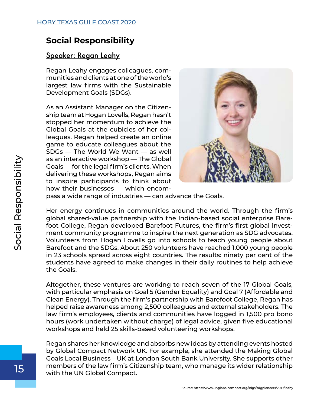### <span id="page-17-0"></span>**Social Responsibility**

#### Speaker: Regan Leahy

Regan Leahy engages colleagues, communities and clients at one of the world's largest law firms with the Sustainable Development Goals (SDGs).

As an Assistant Manager on the Citizenship team at Hogan Lovells, Regan hasn't stopped her momentum to achieve the Global Goals at the cubicles of her colleagues. Regan helped create an online game to educate colleagues about the SDGs — The World We Want — as well as an interactive workshop — The Global Goals — for the legal firm's clients. When delivering these workshops, Regan aims to inspire participants to think about how their businesses — which encom-



pass a wide range of industries — can advance the Goals.

Her energy continues in communities around the world. Through the firm's global shared-value partnership with the Indian-based social enterprise Barefoot College, Regan developed Barefoot Futures, the firm's first global investment community programme to inspire the next generation as SDG advocates. Volunteers from Hogan Lovells go into schools to teach young people about Barefoot and the SDGs. About 250 volunteers have reached 1,000 young people in 23 schools spread across eight countries. The results: ninety per cent of the students have agreed to make changes in their daily routines to help achieve the Goals.

Altogether, these ventures are working to reach seven of the 17 Global Goals, with particular emphasis on Goal 5 (Gender Equality) and Goal 7 (Affordable and Clean Energy). Through the firm's partnership with Barefoot College, Regan has helped raise awareness among 2,500 colleagues and external stakeholders. The law firm's employees, clients and communities have logged in 1,500 pro bono hours (work undertaken without charge) of legal advice, given five educational workshops and held 25 skills-based volunteering workshops.

Regan shares her knowledge and absorbs new ideas by attending events hosted by Global Compact Network UK. For example, she attended the Making Global Goals Local Business – UK at London South Bank University. She supports other members of the law firm's Citizenship team, who manage its wider relationship with the UN Global Compact.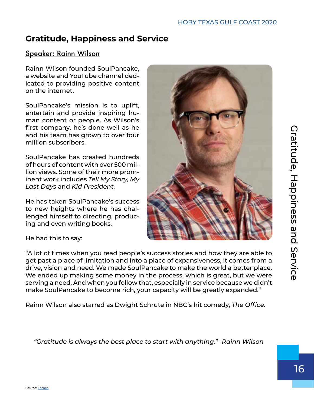### <span id="page-18-0"></span>**Gratitude, Happiness and Service**

#### Speaker: Rainn Wilson

Rainn Wilson founded SoulPancake, a website and YouTube channel dedicated to providing positive content on the internet.

SoulPancake's mission is to uplift, entertain and provide inspiring human content or people. As Wilson's first company, he's done well as he and his team has grown to over four million subscribers.

SoulPancake has created hundreds of hours of content with over 500 million views. Some of their more prominent work includes *Tell My Story, My Last Days* and *Kid President.*

He has taken SoulPancake's success to new heights where he has challenged himself to directing, producing and even writing books.



He had this to say:

"A lot of times when you read people's success stories and how they are able to get past a place of limitation and into a place of expansiveness, it comes from a drive, vision and need. We made SoulPancake to make the world a better place. We ended up making some money in the process, which is great, but we were serving a need. And when you follow that, especially in service because we didn't make SoulPancake to become rich, your capacity will be greatly expanded."

Rainn Wilson also starred as Dwight Schrute in NBC's hit comedy, *The Office.*

*"Gratitude is always the best place to start with anything." -Rainn Wilson*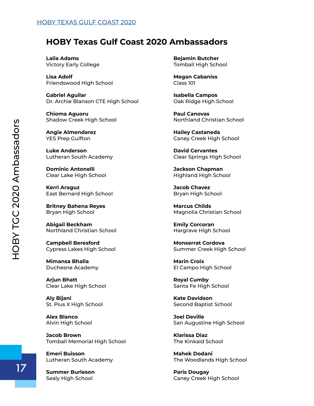#### <span id="page-19-0"></span>[HOBY TEXAS GULF COAST 2020](#page-2-0)

#### **HOBY Texas Gulf Coast 2020 Ambassadors**

**Laila Adams** Victory Early College

**Lisa Adolf** Friendswood High School

**Gabriel Aguilar** Dr. Archie Blanson CTE High School

**Chioma Aguoru** Shadow Creek High School

**Angie Almendarez** YES Prep Gulfton

**Luke Anderson** Lutheran South Academy

**Dominic Antonelli** Clear Lake High School

**Kerri Araguz** East Bernard High School

**Britney Bahena Reyes** Bryan High School

**Abigail Beckham** Northland Christian School

**Campbell Beresford** Cypress Lakes High School

**Mimansa Bhalla** Duchesne Academy

**Arjun Bhatt** Clear Lake High School

**Aly Bijani** St. Pius X High School

**Alex Blanco** Alvin High School

**Jacob Brown** Tomball Memorial High School

**Emeri Buisson** Lutheran South Academy

**Summer Burleson** Sealy High School

**Bejamin Butcher** Tomball High School

**Megan Cabaniss** Class 101

**Isabella Campos** Oak Ridge High School

**Paul Canovas** Northland Christian School

**Hailey Castaneda** Caney Creek High School

**David Cervantes** Clear Springs High School

**Jackson Chapman** Highland High School

**Jacob Chavez** Bryan High School

**Marcus Childs** Magnolia Christian School

**Emily Corcoran** Hargrave High School

**Monserrat Cordova** Summer Creek High School

**Marin Croix** El Campo High School

**Royal Cumby** Santa Fe High School

**Kate Davidson** Second Baptist School

**Joel Deville** San Augustine High School

**Klarissa Diaz** The Kinkaid School

**Mahek Dodani** The Woodlands High School

**Paris Dougay** Caney Creek High School

17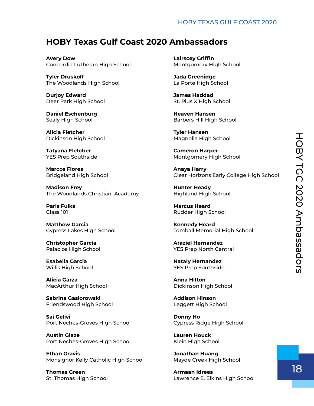#### [HOBY TEXAS GULF COAST 2020](#page-2-0)

### **HOBY Texas Gulf Coast 2020 Ambassadors**

**Avery Dow** Concordia Lutheran High School

**Tyler Druskoff** The Woodlands High School

**Durjoy Edward** Deer Park High School

**Daniel Eschenburg** Sealy High School

**Alicia Fletcher** Dickinson High School

**Tatyana Fletcher** YES Prep Southside

**Marcos Flores** Bridgeland High School

**Madison Frey** The Woodlands Christian Academy

**Paris Fulks** Class 101

**Matthew Garcia** Cypress Lakes High School

**Christopher Garcia** Palacios High School

**Esabella Garcia** Willis High School

**Alicia Garza** MacArthur High School

**Sabrina Gasiorowski** Friendswood High School

**Sai Gelivi** Port Neches-Groves High School

**Austin Glaze** Port Neches-Groves High School

**Ethan Gravis** Monsignor Kelly Catholic High School

**Thomas Green** St. Thomas High School **Lairscey Griffin** Montgomery High School

**Jada Greenidge** La Porte High School

**James Haddad** St. Pius X High School

**Heaven Hansen** Barbers Hill High School

**Tyler Hansen** Magnolia High School

**Cameron Harper** Montgomery High School

**Anaya Harry** Clear Horizons Early College High School

**Hunter Heady** Highland High School

**Marcus Heard** Rudder High School

**Kennedy Heard** Tomball Memorial High School

**Araziel Hernandez** YES Prep North Central

**Nataly Hernandez** YES Prep Southside

**Anna Hilton** Dickinson High School

**Addison Hinson** Leggett High School

**Donny Ho** Cypress Ridge High School

**Lauren Houck** Klein High School

**Jonathan Huang** Mayde Creek High School

**Armaan Idrees** Lawrence E. Elkins High School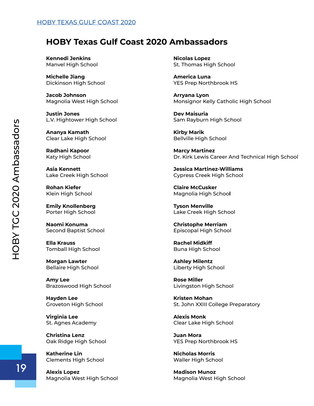### **HOBY Texas Gulf Coast 2020 Ambassadors**

**Kennedi Jenkins** Manvel High School

**Michelle Jiang** Dickinson High School

**Jacob Johnson** Magnolia West High School

**Justin Jones** L.V. Hightower High School

**Ananya Kamath** Clear Lake High School

**Radhani Kapoor** Katy High School

**Asia Kennett** Lake Creek High School

**Rohan Kiefer** Klein High School

**Emily Knollenberg** Porter High School

**Naomi Konuma** Second Baptist School

**Ella Krauss** Tomball High School

**Morgan Lawter** Bellaire High School

**Amy Lee** Brazoswood High School

**Hayden Lee** Groveton High School

**Virginia Lee** St. Agnes Academy

**Christina Lenz** Oak Ridge High School

**Katherine Lin** Clements High School

**Alexis Lopez** Magnolia West High School **Nicolas Lopez** St. Thomas High School

**America Luna** YES Prep Northbrook HS

**Arryana Lyon** Monsignor Kelly Catholic High School

**Dev Maisuria** Sam Rayburn High School

**Kirby Marik** Bellville High School

**Marcy Martinez** Dr. Kirk Lewis Career And Technical High School

**Jessica Martinez-Williams** Cypress Creek High School

**Claire McCusker** Magnolia High Schoo**l**

**Tyson Menville** Lake Creek High School

**Christophe Merriam** Episcopal High School

**Rachel Midkiff** Buna High School

**Ashley Milentz** Liberty High School

**Rose Miller** Livingston High School

**Kristen Mohan** St. John XXIII College Preparatory

**Alexis Monk** Clear Lake High School

**Juan Mora** YES Prep Northbrook HS

**Nicholas Morris** Waller High School

**Madison Munoz** Magnolia West High School

19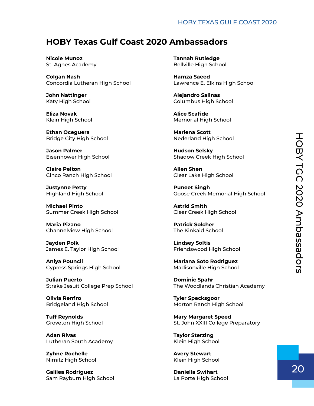#### [HOBY TEXAS GULF COAST 2020](#page-2-0)

### **HOBY Texas Gulf Coast 2020 Ambassadors**

**Nicole Munoz** St. Agnes Academy

**Colgan Nash** Concordia Lutheran High School

**John Nattinger** Katy High School

**Eliza Novak** Klein High School

**Ethan Oceguera** Bridge City High School

**Jason Palmer** Eisenhower High School

**Claire Pelton** Cinco Ranch High School

**Justynne Petty** Highland High School

**Michael Pinto** Summer Creek High School

**Maria Pizano** Channelview High School

**Jayden Polk** James E. Taylor High School

**Aniya Pouncil** Cypress Springs High School

**Julian Puerto** Strake Jesuit College Prep School

**Olivia Renfro** Bridgeland High School

**Tuff Reynolds** Groveton High School

**Adan Rivas** Lutheran South Academy

**Zyhne Rochelle** Nimitz High School

**Galilea Rodriguez** Sam Rayburn High School **Tannah Rutledge** Bellville High School

**Hamza Saeed** Lawrence E. Elkins High School

**Alejandro Salinas** Columbus High School

**Alice Scafide** Memorial High School

**Marlena Scott** Nederland High School

**Hudson Selsky** Shadow Creek High School

**Allen Shen** Clear Lake High School

**Puneet Singh** Goose Creek Memorial High School

**Astrid Smith** Clear Creek High School

**Patrick Solcher** The Kinkaid School

**Lindsey Soltis** Friendswood High School

**Mariana Soto Rodriguez** Madisonville High School

**Dominic Spahr** The Woodlands Christian Academy

**Tyler Specksgoor** Morton Ranch High School

**Mary Margaret Speed** St. John XXIII College Preparatory

**Taylor Sterzing** Klein High School

**Avery Stewart** Klein High School

**Daniella Swihart** La Porte High School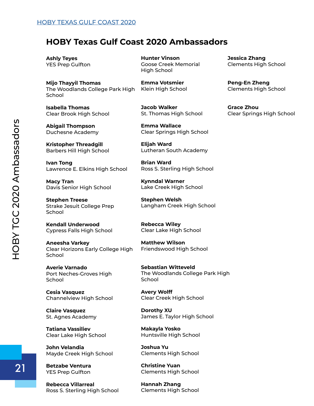### **HOBY Texas Gulf Coast 2020 Ambassadors**

**Ashly Teyes** YES Prep Gulfton

**Mijo Thayyil Thomas** The Woodlands College Park High School

**Isabella Thomas** Clear Brook High School

**Abigail Thompson** Duchesne Academy

**Kristopher Threadgill** Barbers Hill High School

**Ivan Tong** Lawrence E. Elkins High School

**Macy Tran** Davis Senior High School

**Stephen Treese** Strake Jesuit College Prep School

**Kendall Underwood** Cypress Falls High School

**Aneesha Varkey** Clear Horizons Early College High School

**Averie Varnado** Port Neches-Groves High School

**Cesia Vasquez** Channelview High School

**Claire Vasquez** St. Agnes Academy

**Tatiana Vassiliev** Clear Lake High School

**John Velandia** Mayde Creek High School

**Betzabe Ventura** YES Prep Gulfton

**Rebecca Villarreal** Ross S. Sterling High School **Hunter Vinson** Goose Creek Memorial High School

**Emma Votsmier** Klein High School

**Jacob Walker** St. Thomas High School

**Emma Wallace** Clear Springs High School

**Elijah Ward** Lutheran South Academy

**Brian Ward** Ross S. Sterling High School

**Kynndal Warner** Lake Creek High School

**Stephen Welsh** Langham Creek High School

**Rebecca Wiley** Clear Lake High School

**Matthew Wilson** Friendswood High School

**Sebastian Witteveld** The Woodlands College Park High **School** 

**Avery Wolff** Clear Creek High School

**Dorothy XU** James E. Taylor High School

**Makayla Yosko** Huntsville High School

**Joshua Yu** Clements High School

**Christine Yuan** Clements High School

**Hannah Zhang** Clements High School **Jessica Zhang** Clements High School

**Peng-En Zheng** Clements High School

**Grace Zhou** Clear Springs High School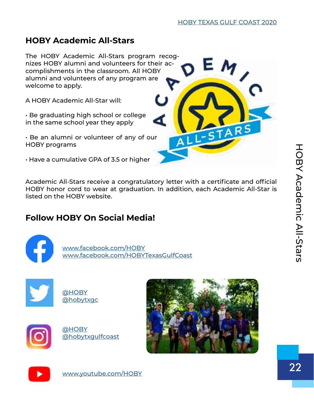# <span id="page-24-0"></span>**HOBY Academic All-Stars**

The HOBY Academic All-Stars program recognizes HOBY alumni and volunteers for t[heir ac](https://www.hoby.org/programs/ambassadors-connect/)complishments in the classroom. All HOBY alumni and volunteers of any program are welcome to apply.

A HOBY Academic All-Star will:

• Be graduating high school or college in the same school year they apply

• Be an alumni or volunteer of any of our HOBY programs

• Have a cumulative GPA of 3.5 or higher

Academic All-Stars receive a congratulatory letter with a certificate and official HOBY honor cord to wear at graduation. In addition, each Academic All-Star is listed on the HOBY website.

# **Follow HOBY On Social Media!**

j

 [www.facebook.com/HOBY](http://www.facebook.com/HOBY) [www.facebook.com/HOBYTexasGulfCoast](http://www.facebook.com/HOBYTexasGulfCoast)



| <b>@HOBY</b>     |
|------------------|
| <b>@hobytxgc</b> |









[www.youtube.com/HOBY](http://www.youtube.com/HOBY)

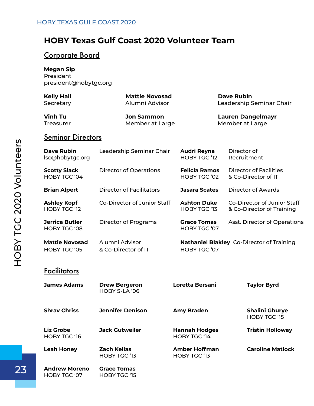### <span id="page-25-0"></span>**HOBY Texas Gulf Coast 2020 Volunteer Team**

#### Corporate Board

**Megan Sip** President president@hobytgc.org

| <b>Kelly Hall</b>      |
|------------------------|
| $\mathcal{C}$ <b>.</b> |

**Mattie Novosad Dave Rubin** Secretary **Alumni Advisor** Leadership Seminar Chair

**Vinh Tu Jon Sammon Lauren Dangelmayr** Treasurer **Member at Large** Member at Large Member at Large

#### **Seminar Directors**

| <b>Dave Rubin</b><br>lsc@hobytgc.org         | Leadership Seminar Chair              | <b>Audri Reyna</b><br>HOBY TGC '12          | Director of<br>Recruitment                               |
|----------------------------------------------|---------------------------------------|---------------------------------------------|----------------------------------------------------------|
| <b>Scotty Slack</b><br>HOBY TGC '04          | <b>Director of Operations</b>         | <b>Felicia Ramos</b><br><b>HOBY TGC '02</b> | <b>Director of Facilities</b><br>& Co-Director of IT     |
| <b>Brian Alpert</b>                          | <b>Director of Facilitators</b>       | <b>Jasara Scates</b>                        | <b>Director of Awards</b>                                |
| <b>Ashley Kopf</b><br>HOBY TGC '12           | Co-Director of Junior Staff           | <b>Ashton Duke</b><br>HOBY TGC '13          | Co-Director of Junior Staff<br>& Co-Director of Training |
| <b>Jerrica Butler</b><br><b>HOBY TGC '08</b> | <b>Director of Programs</b>           | <b>Grace Tomas</b><br>HOBY TGC '07          | Asst. Director of Operations                             |
| <b>Mattie Novosad</b><br>HOBY TGC '05        | Alumni Advisor<br>& Co-Director of IT | HOBY TGC '07                                | <b>Nathaniel Blakley Co-Director of Training</b>         |
| <b>Facilitators</b>                          |                                       |                                             |                                                          |
| <b>James Adams</b>                           | <b>Drew Bergeron</b><br>HOBY S-LA '06 | <b>Loretta Bersani</b>                      | <b>Taylor Byrd</b>                                       |
| <b>Shrav Chriss</b>                          | <b>Jennifer Denison</b>               | <b>Amy Braden</b>                           | <b>Shalini Ghurye</b><br><b>HOBY TGC '15</b>             |
| <b>Liz Grobe</b><br><b>HOBY TGC '16</b>      | <b>Jack Gutweiler</b>                 | <b>Hannah Hodges</b><br>HOBY TGC '14        | <b>Tristin Holloway</b>                                  |
| <b>Leah Honey</b>                            | <b>Zach Kellas</b><br>HOBY TGC '13    | <b>Amber Hoffman</b><br>HOBY TGC '13        | <b>Caroline Matlock</b>                                  |
| <b>Andrew Moreno</b><br>HOBY TGC '07         | <b>Grace Tomas</b><br>HOBY TGC '15    |                                             |                                                          |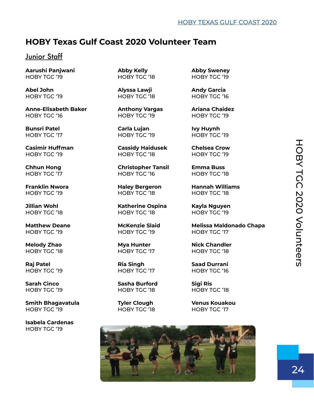### **HOBY Texas Gulf Coast 2020 Volunteer Team**

#### Junior Staff

**Aarushi Panjwani Abby Kelly Abby Sweney**

Abel John **Alyssa Lawji** Andy Garcia

**Anne-Elisabeth Baker Anthony Vargas Ariana Chaidez** HOBY TGC '16 HOBY TGC '19 HOBY TGC '19

**Bunsri Patel Carla Lujan Ivy Huynh** HOBY TGC '17 HOBY TGC '19 HOBY TGC '19

**Casimir Huffman Cassidy Haidusek Chelsea Crow**

HOBY TGC '19 HOBY TGC '18 HOBY TGC '18

HOBY TGC '19 HOBY TGC '19 HOBY TGC '17

**Melody Zhao Mya Hunter Nick Chandler** HOBY TGC '18 HOBY TGC '17 HOBY TGC '18

**Smith Bhagavatula Tyler Clough Venus Kouakou** HOBY TGC '19 HOBY TGC '18 HOBY TGC '17

**Isabela Cardenas** HOBY TGC '19

HOBY TGC '19 HOBY TGC '18 HOBY TGC '19

HOBY TGC '19 HOBY TGC '18 HOBY TGC '19

**Chhun Hong Christopher Tansil Emma Buss** HOBY TGC '17 HOBY TGC '16 HOBY TGC '18

**Jillian Wohl Katherine Ospina Kayla Nguyen** HOBY TGC '18 HOBY TGC '18 HOBY TGC '19

HOBY TGC '17

**Sarah Cinco Sasha Burford Sigi Ris** HOBY TGC '19 HOBY TGC '18 HOBY TGC '18

HOBY TGC '19 HOBY TGC '18 HOBY TGC '16

**Franklin Nwora Haley Bergeron Hannah Williams**

Matthew Deane **McKenzie Slaid** Melissa Maldonado Chapa

**Raj Patel Ria Singh Saad Durrani**



 $24$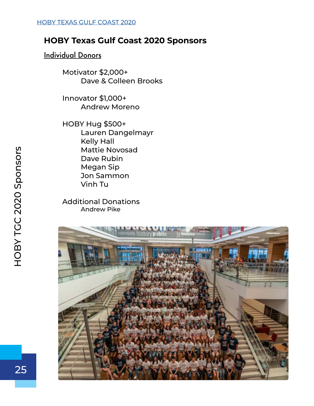# <span id="page-27-0"></span>**HOBY Texas Gulf Coast 2020 Sponsors**

#### Individual Donors

Motivator \$2,000+ Dave & Colleen Brooks

Innovator \$1,000+ Andrew Moreno

HOBY Hug \$500+ Lauren Dangelmayr Kelly Hall Mattie Novosad Dave Rubin Megan Sip Jon Sammon Vinh Tu

Additional Donations Andrew Pike

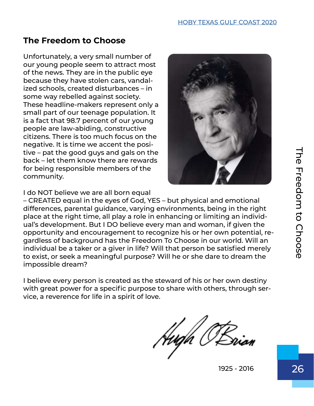# <span id="page-28-0"></span>**The Freedom to Choose**

Unfortunately, a very small number of our young people seem to attract most of the news. They are in the public eye because they have stolen cars, vandalized schools, created disturbances – in some way rebelled against society. These headline-makers represent only a small part of our teenage population. It is a fact that 98.7 percent of our young people are law-abiding, constructive citizens. There is too much focus on the negative. It is time we accent the positive – pat the good guys and gals on the back – let them know there are rewards for being responsible members of the community.



I do NOT believe we are all born equal

– CREATED equal in the eyes of God, YES – but physical and emotional differences, parental guidance, varying environments, being in the right place at the right time, all play a role in enhancing or limiting an individual's development. But I DO believe every man and woman, if given the opportunity and encouragement to recognize his or her own potential, regardless of background has the Freedom To Choose in our world. Will an individual be a taker or a giver in life? Will that person be satisfied merely to exist, or seek a meaningful purpose? Will he or she dare to dream the impossible dream? tive – pat the good guys and gals on the<br>boot – let them know there are rewards<br>for being responsible members of the<br>community.<br>
I do NOT believe we are all born equal<br>
differences, parental guidance, varying environments,

I believe every person is created as the steward of his or her own destiny with great power for a specific purpose to share with others, through service, a reverence for life in a spirit of love.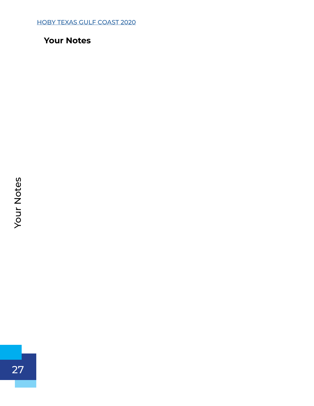<span id="page-29-0"></span>27